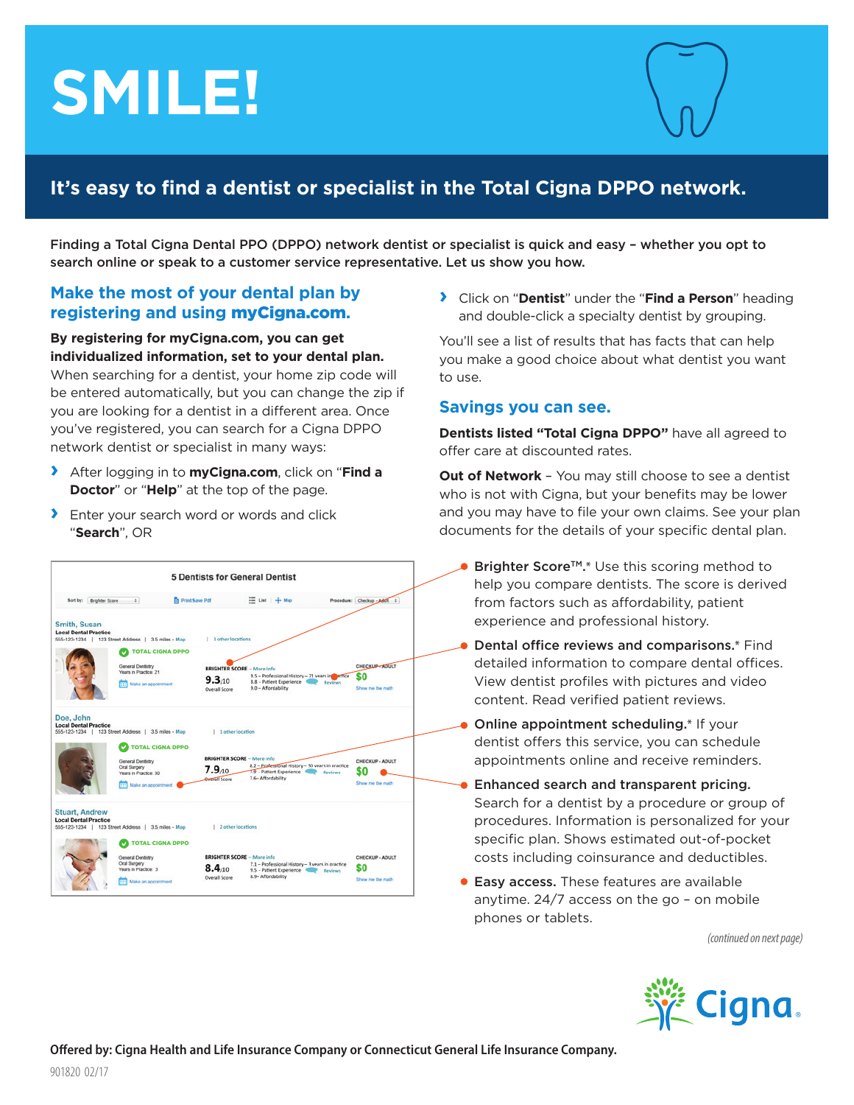# **SMILE!**



# **It's easy to find a dentist or specialist in the Total Cigna DPPO network.**

Finding a Total Cigna Dental PPO (DPPO) network dentist or specialist is quick and easy – whether you opt to search online or speak to a customer service representative. Let us show you how.

## **Make the most of your dental plan by registering and using** myCigna.com**.**

**By registering for myCigna.com, you can get individualized information, set to your dental plan.**

When searching for a dentist, your home zip code will be entered automatically, but you can change the zip if you are looking for a dentist in a different area. Once you've registered, you can search for a Cigna DPPO network dentist or specialist in many ways:

- **›** After logging in to **myCigna.com**, click on "**Find a Doctor**" or "**Help**" at the top of the page.
- **›** Enter your search word or words and click "**Search**", OR



**›** Click on "**Dentist**" under the "**Find a Person**" heading and double-click a specialty dentist by grouping.

You'll see a list of results that has facts that can help you make a good choice about what dentist you want to use.

## **Savings you can see.**

**Dentists listed "Total Cigna DPPO"** have all agreed to offer care at discounted rates.

**Out of Network** – You may still choose to see a dentist who is not with Cigna, but your benefits may be lower and you may have to file your own claims. See your plan documents for the details of your specific dental plan.

- Brighter Score<sup>™\*</sup>.\* Use this scoring method to help you compare dentists. The score is derived from factors such as affordability, patient experience and professional history.
- Dental office reviews and comparisons.\* Find detailed information to compare dental offices. View dentist profiles with pictures and video content. Read verified patient reviews.
- Online appointment scheduling.\* If your dentist offers this service, you can schedule appointments online and receive reminders.
- Enhanced search and transparent pricing.  $\bullet$ Search for a dentist by a procedure or group of procedures. Information is personalized for your specific plan. Shows estimated out-of-pocket costs including coinsurance and deductibles.
- **Easy access.** These features are available anytime. 24/7 access on the go – on mobile phones or tablets.

*(continued on next page)*

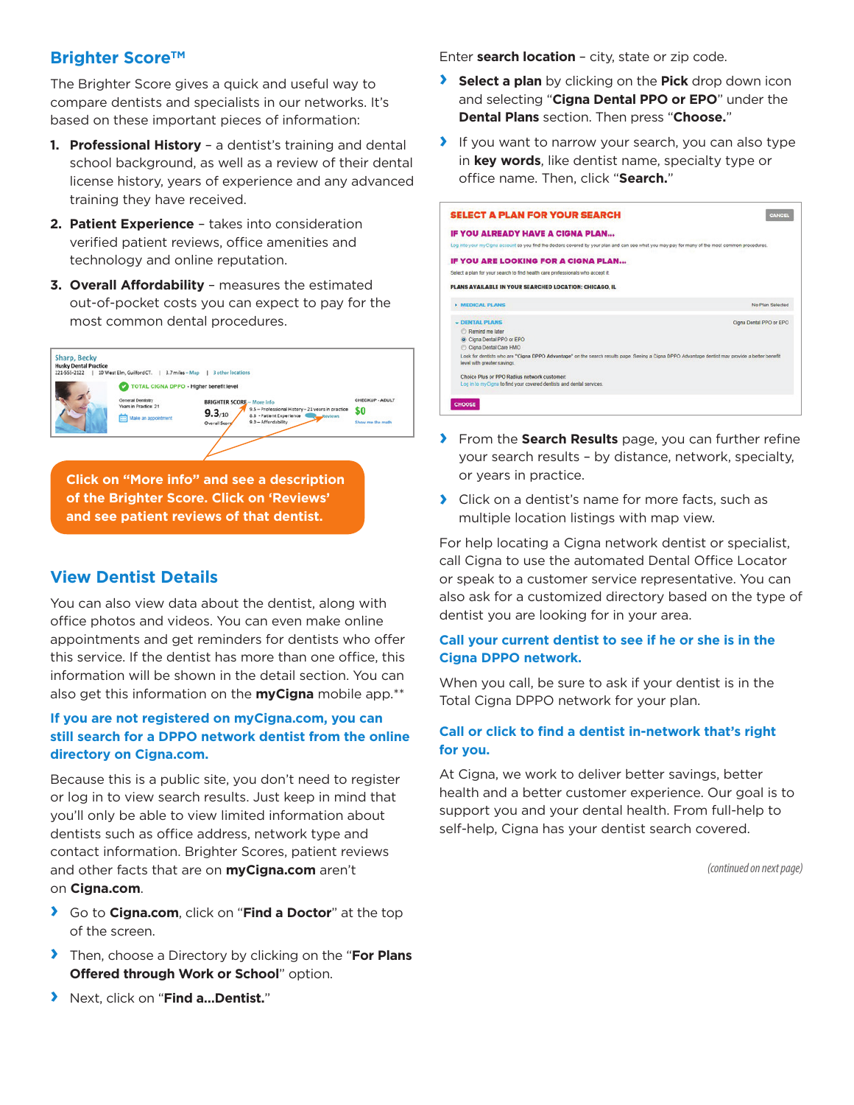# **Brighter Score™**

The Brighter Score gives a quick and useful way to compare dentists and specialists in our networks. It's based on these important pieces of information:

- **1. Professional History** a dentist's training and dental school background, as well as a review of their dental license history, years of experience and any advanced training they have received.
- **2. Patient Experience** takes into consideration verified patient reviews, office amenities and technology and online reputation.
- **3. Overall Affordability** measures the estimated out-of-pocket costs you can expect to pay for the most common dental procedures.



#### **View Dentist Details**

You can also view data about the dentist, along with office photos and videos. You can even make online appointments and get reminders for dentists who offer this service. If the dentist has more than one office, this information will be shown in the detail section. You can also get this information on the **myCigna** mobile app.\*\*

#### **If you are not registered on myCigna.com, you can still search for a DPPO network dentist from the online directory on Cigna.com.**

Because this is a public site, you don't need to register or log in to view search results. Just keep in mind that you'll only be able to view limited information about dentists such as office address, network type and contact information. Brighter Scores, patient reviews and other facts that are on **myCigna.com** aren't on **Cigna.com**.

- **›** Go to **Cigna.com**, click on "**Find a Doctor**" at the top of the screen.
- **›** Then, choose a Directory by clicking on the "**For Plans Offered through Work or School**" option.
- **›** Next, click on "**Find a…Dentist.**"

Enter **search location** – city, state or zip code.

- **› Select a plan** by clicking on the **Pick** drop down icon and selecting "**Cigna Dental PPO or EPO**" under the **Dental Plans** section. Then press "**Choose.**"
- **›** If you want to narrow your search, you can also type in **key words**, like dentist name, specialty type or office name. Then, click "**Search.**"

| <b>SELECT A PLAN FOR YOUR SEARCH</b>                                                                                                                                           | CANCE                   |
|--------------------------------------------------------------------------------------------------------------------------------------------------------------------------------|-------------------------|
| IF YOU ALREADY HAVE A CIGNA PLAN                                                                                                                                               |                         |
| Log into your myCigna account so you find the doctors covered by your plan and can see what you may pay for many of the most common procedures.                                |                         |
| IF YOU ARE LOOKING FOR A CIGNA PLAN                                                                                                                                            |                         |
| Select a plan for your search to find health care professionals who accept it.                                                                                                 |                         |
| PLANS AVAILABLE IN YOUR SEARCHED LOCATION: CHICAGO, IL                                                                                                                         |                         |
| <b>NEDICAL PLANS</b>                                                                                                                                                           | No Plan Selected        |
| - DENTAL PLANS                                                                                                                                                                 | Cigna Dental PPO or EPO |
| C Ramind me later                                                                                                                                                              |                         |
| Cigna Dental PPO or EPO                                                                                                                                                        |                         |
| C Cigna Dental Care HMO                                                                                                                                                        |                         |
| Look for dentists who are "Cigna DPPO Advantage" on the search results page. Seeing a Cigna DPPO Advantage dentist may provide a better benefit<br>level with greater savings. |                         |
| Choice Plus or PPO Radius network customer:                                                                                                                                    |                         |
| Log in to myCigna to find your covered dentists and dental services.                                                                                                           |                         |
|                                                                                                                                                                                |                         |
| <b>CHOOSE</b>                                                                                                                                                                  |                         |
|                                                                                                                                                                                |                         |

- **›** From the **Search Results** page, you can further refine your search results – by distance, network, specialty, or years in practice.
- **›** Click on a dentist's name for more facts, such as multiple location listings with map view.

For help locating a Cigna network dentist or specialist, call Cigna to use the automated Dental Office Locator or speak to a customer service representative. You can also ask for a customized directory based on the type of dentist you are looking for in your area.

#### **Call your current dentist to see if he or she is in the Cigna DPPO network.**

When you call, be sure to ask if your dentist is in the Total Cigna DPPO network for your plan.

#### **Call or click to find a dentist in-network that's right for you.**

At Cigna, we work to deliver better savings, better health and a better customer experience. Our goal is to support you and your dental health. From full-help to self-help, Cigna has your dentist search covered.

*(continued on next page)*